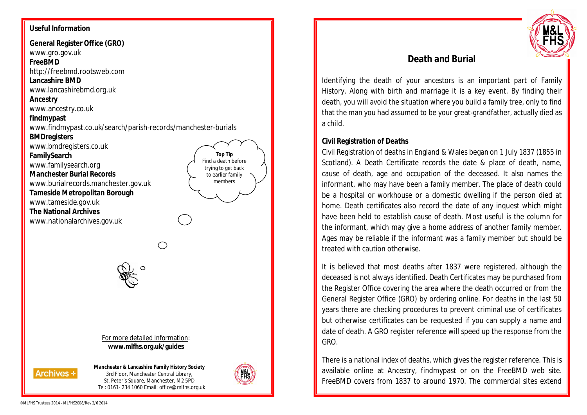## **Useful Information**

**General Register Office (GRO)** www.gro.gov.uk

**FreeBMD**

http://freebmd.rootsweb.com

**Lancashire BMD**

www.lancashirebmd.org.uk

### **Ancestry**

www.ancestry.co.uk

#### **findmypast**

www.findmypast.co.uk/search/parish-records/manchester-burials

### **BMDregisters**

www.bmdregisters.co.uk

**FamilySearch**

www.familysearch.org

**Manchester Burial Records**

www.burialrecords.manchester.gov.uk

**Tameside Metropolitan Borough**

www.tameside.gov.uk

**The National Archives**

www.nationalarchives.gov.uk



For more detailed information: **www.mlfhs.org.uk/guides**



**Manchester & Lancashire Family History Society** 3rd Floor, Manchester Central Library, St. Peter's Square, Manchester, M2 5PD Tel: 0161- 234 1060 Email: office@mlfhs.org.uk



**Top Tip** Find a death before trying to get back to earlier family members



# **Death and Burial**

Identifying the death of your ancestors is an important part of Family History. Along with birth and marriage it is a key event. By finding their death, you will avoid the situation where you build a family tree, only to find that the man you had assumed to be your great-grandfather, actually died as a child.

## **Civil Registration of Deaths**

Civil Registration of deaths in England & Wales began on 1 July 1837 (1855 in Scotland). A Death Certificate records the date & place of death, name, cause of death, age and occupation of the deceased. It also names the informant, who may have been a family member. The place of death could be a hospital or workhouse or a domestic dwelling if the person died at home. Death certificates also record the date of any inquest which might have been held to establish cause of death. Most useful is the column for the informant, which may give a home address of another family member. Ages may be reliable if the informant was a family member but should be treated with caution otherwise.

It is believed that most deaths after 1837 were registered, although the deceased is not always identified. Death Certificates may be purchased from the Register Office covering the area where the death occurred or from the General Register Office (GRO) by ordering online. For deaths in the last 50 years there are checking procedures to prevent criminal use of certificates but otherwise certificates can be requested if you can supply a name and date of death. A GRO register reference will speed up the response from the GRO.

There is a national index of deaths, which gives the register reference. This is available online at Ancestry, findmypast or on the FreeBMD web site. FreeBMD covers from 1837 to around 1970. The commercial sites extend